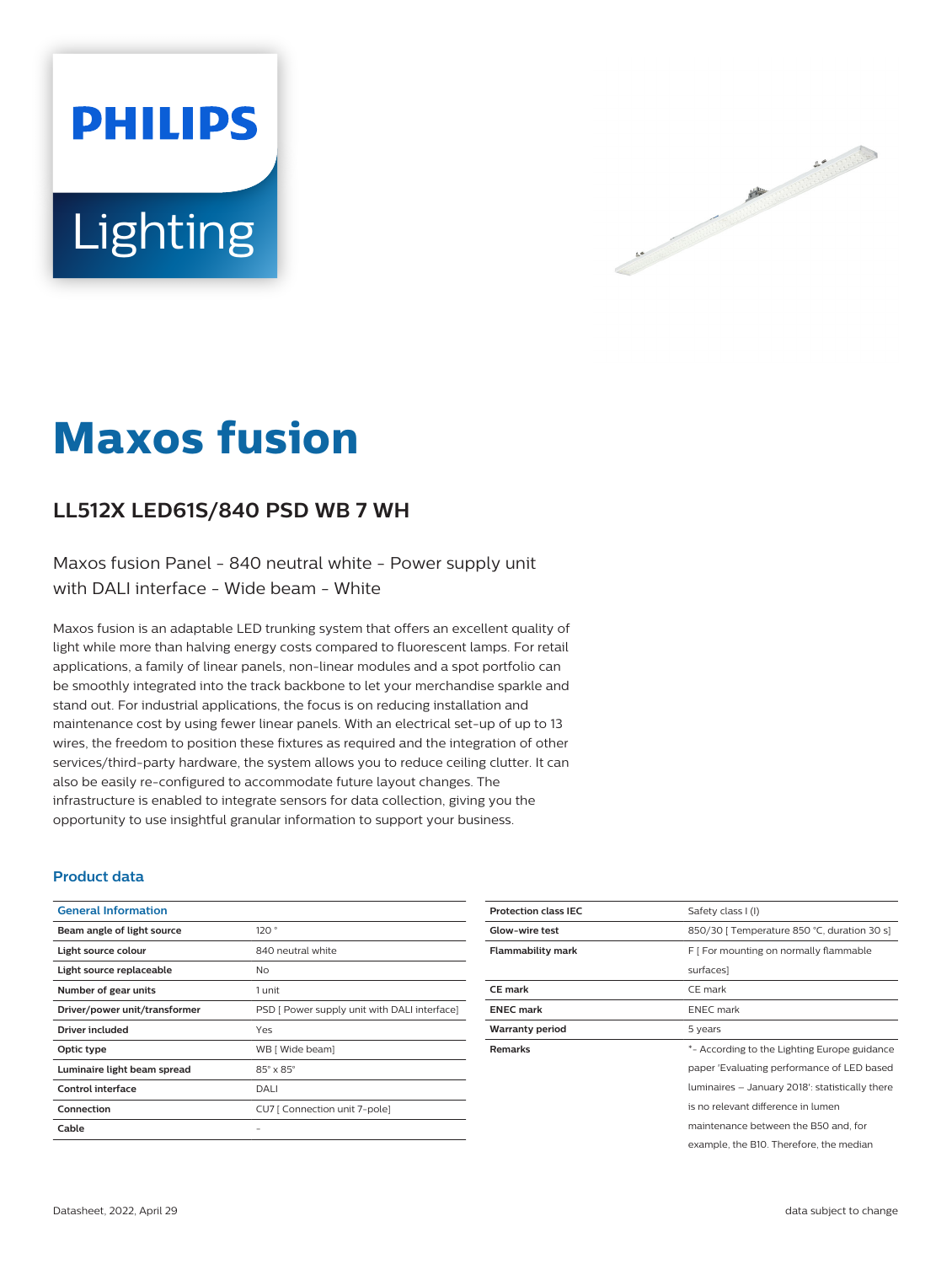# **PHILIPS** Lighting



# **Maxos fusion**

# **LL512X LED61S/840 PSD WB 7 WH**

Maxos fusion Panel - 840 neutral white - Power supply unit with DALI interface - Wide beam - White

Maxos fusion is an adaptable LED trunking system that offers an excellent quality of light while more than halving energy costs compared to fluorescent lamps. For retail applications, a family of linear panels, non-linear modules and a spot portfolio can be smoothly integrated into the track backbone to let your merchandise sparkle and stand out. For industrial applications, the focus is on reducing installation and maintenance cost by using fewer linear panels. With an electrical set-up of up to 13 wires, the freedom to position these fixtures as required and the integration of other services/third-party hardware, the system allows you to reduce ceiling clutter. It can also be easily re-configured to accommodate future layout changes. The infrastructure is enabled to integrate sensors for data collection, giving you the opportunity to use insightful granular information to support your business.

### **Product data**

| <b>General Information</b>    |                                              |
|-------------------------------|----------------------------------------------|
| Beam angle of light source    | 120°                                         |
| Light source colour           | 840 neutral white                            |
| Light source replaceable      | No                                           |
| Number of gear units          | 1 unit                                       |
| Driver/power unit/transformer | PSD [ Power supply unit with DALI interface] |
| Driver included               | Yes                                          |
| Optic type                    |                                              |
|                               | WB [ Wide beam]                              |
| Luminaire light beam spread   | $85^\circ \times 85^\circ$                   |
| Control interface             | DALI                                         |
| Connection                    | CU7 [ Connection unit 7-pole]                |
| Cable                         |                                              |

| <b>Protection class IEC</b> | Safety class I (I)                              |
|-----------------------------|-------------------------------------------------|
| <b>Glow-wire test</b>       | 850/30 [ Temperature 850 °C, duration 30 s]     |
| <b>Flammability mark</b>    | F [ For mounting on normally flammable          |
|                             | surfaces]                                       |
| <b>CE</b> mark              | CE mark                                         |
| <b>ENEC mark</b>            | <b>ENEC</b> mark                                |
| <b>Warranty period</b>      | 5 years                                         |
| <b>Remarks</b>              | *- According to the Lighting Europe guidance    |
|                             | paper 'Evaluating performance of LED based      |
|                             | luminaires - January 2018': statistically there |
|                             | is no relevant difference in lumen              |
|                             | maintenance between the B50 and, for            |
|                             | example, the B10. Therefore, the median         |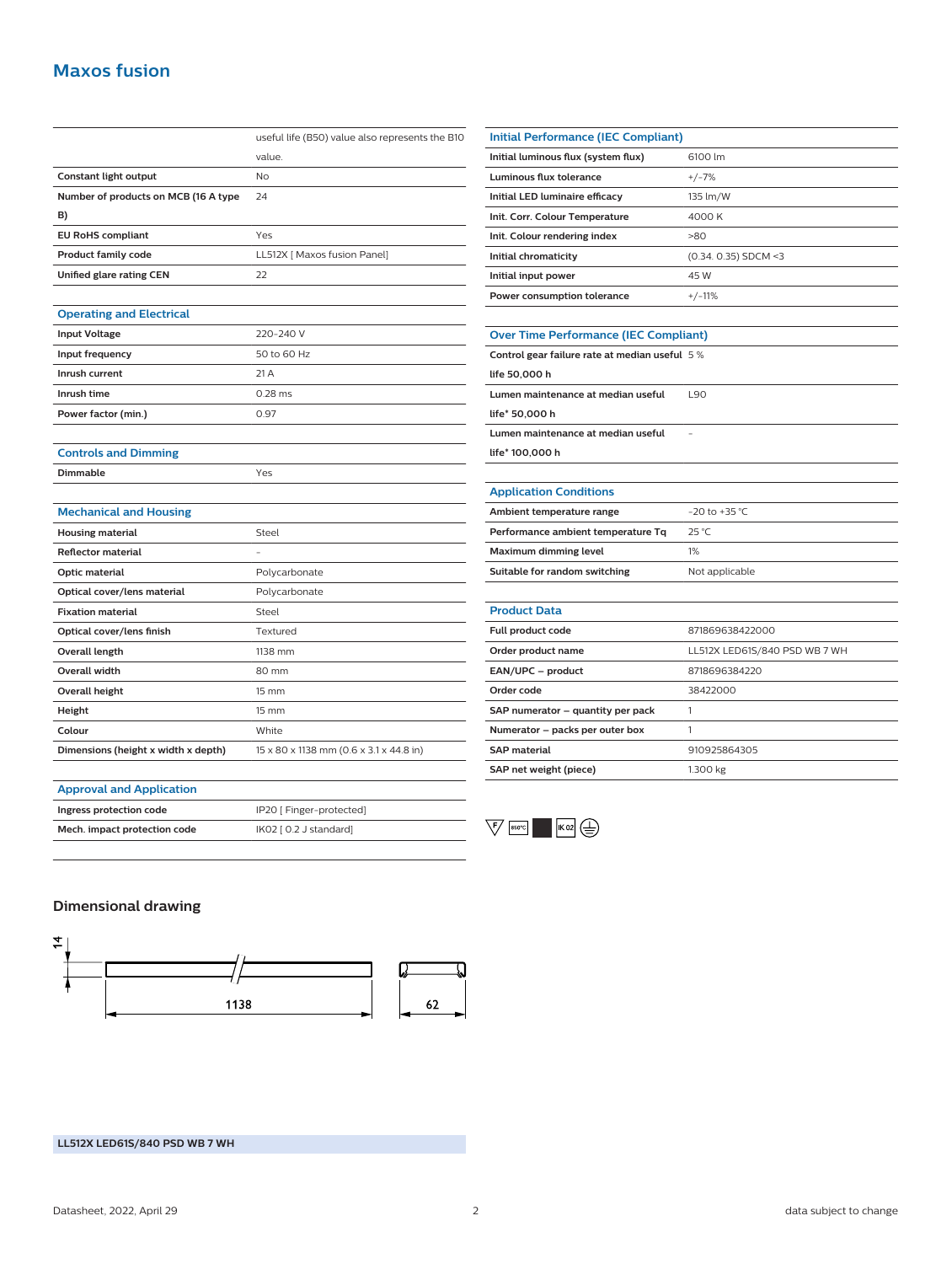# **Maxos fusion**

|                                      | useful life (B50) value also represents the B10 |
|--------------------------------------|-------------------------------------------------|
|                                      | value.                                          |
| Constant light output                | <b>No</b>                                       |
| Number of products on MCB (16 A type | 24                                              |
| B)                                   |                                                 |
| <b>EU RoHS compliant</b>             | Yes                                             |
| <b>Product family code</b>           | LL512X [ Maxos fusion Panel]                    |
| Unified glare rating CEN             | 22                                              |
|                                      |                                                 |
| <b>Operating and Electrical</b>      |                                                 |
| <b>Input Voltage</b>                 | 220-240 V                                       |
| Input frequency                      | 50 to 60 Hz                                     |
| Inrush current                       | 21A                                             |
| Inrush time                          | $0.28$ ms                                       |
| Power factor (min.)                  | 0.97                                            |
|                                      |                                                 |
| <b>Controls and Dimming</b>          |                                                 |
| Dimmable                             | Yes                                             |
|                                      |                                                 |
| <b>Mechanical and Housing</b>        |                                                 |
| <b>Housing material</b>              | Steel                                           |
| <b>Reflector material</b>            |                                                 |
| Optic material                       | Polycarbonate                                   |
| Optical cover/lens material          | Polycarbonate                                   |
| <b>Fixation material</b>             | Steel                                           |
| Optical cover/lens finish            | Textured                                        |
| Overall length                       | 1138 mm                                         |
| Overall width                        | 80 mm                                           |
| Overall height                       | 15 mm                                           |
| Height                               | 15 mm                                           |
| Colour                               | White                                           |
| Dimensions (height x width x depth)  | 15 x 80 x 1138 mm (0.6 x 3.1 x 44.8 in)         |
|                                      |                                                 |

| <b>Approval and Application</b> |  |  |  |  |
|---------------------------------|--|--|--|--|
|---------------------------------|--|--|--|--|

| Ingress protection code      | IP20 [ Finger-protected] |
|------------------------------|--------------------------|
| Mech. impact protection code | IK02 [ 0.2 J standard]   |
|                              |                          |

| Initial Performance (IEC Compliant) |                        |
|-------------------------------------|------------------------|
| Initial luminous flux (system flux) | 6100 lm                |
| Luminous flux tolerance             | $+/-7%$                |
| Initial LED luminaire efficacy      | 135 lm/W               |
| Init. Corr. Colour Temperature      | 4000 K                 |
| Init. Colour rendering index        | $-80$                  |
| Initial chromaticity                | $(0.34. 0.35)$ SDCM <3 |
| Initial input power                 | 45 W                   |
| Power consumption tolerance         | $+/-11%$               |
|                                     |                        |

#### **Over Time Performance (IEC Compliant)**

| Control gear failure rate at median useful 5% |                    |
|-----------------------------------------------|--------------------|
| life 50,000 h                                 |                    |
| Lumen maintenance at median useful            | <b>L90</b>         |
| life* 50,000 h                                |                    |
| Lumen maintenance at median useful            |                    |
| life* 100,000 h                               |                    |
|                                               |                    |
| <b>Application Conditions</b>                 |                    |
| Ambient temperature range                     | $-20$ to $+35$ °C. |
| Performance ambient temperature Tq            | $25^{\circ}$ C     |
| Maximum dimming level                         | 1%                 |
| Suitable for random switching                 | Not applicable     |

#### **Product Data**

| .                                 |                               |
|-----------------------------------|-------------------------------|
| <b>Full product code</b>          | 871869638422000               |
| Order product name                | LL512X LED61S/840 PSD WB 7 WH |
| EAN/UPC - product                 | 8718696384220                 |
| Order code                        | 38422000                      |
| SAP numerator - quantity per pack |                               |
| Numerator - packs per outer box   |                               |
| <b>SAP</b> material               | 910925864305                  |
| SAP net weight (piece)            | 1.300 kg                      |
|                                   |                               |



### **Dimensional drawing**



**LL512X LED61S/840 PSD WB 7 WH**